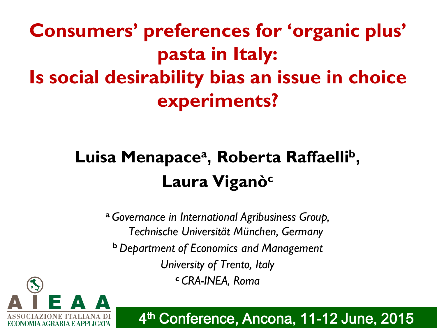**Consumers' preferences for 'organic plus' pasta in Italy: Is social desirability bias an issue in choice experiments?**

# **Luisa Menapace<sup>a</sup> , Roberta Raffaelli<sup>b</sup> , Laura Viganò<sup>c</sup>**

**<sup>a</sup>***Governance in International Agribusiness Group, Technische Universität München, Germany*  **<sup>b</sup>***Department of Economics and Management University of Trento, Italy* **<sup>c</sup>***CRA-INEA, Roma*



4 th Conference, Ancona, 11-12 June, 2015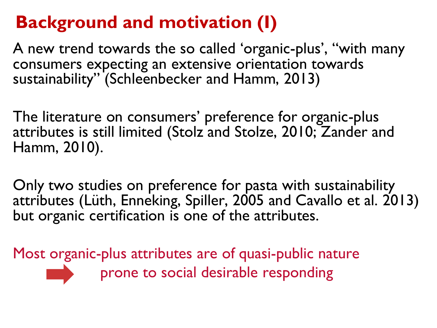## **Background and motivation (I)**

A new trend towards the so called 'organic-plus', "with many consumers expecting an extensive orientation towards sustainability" (Schleenbecker and Hamm, 2013)

The literature on consumers' preference for organic-plus attributes is still limited (Stolz and Stolze, 2010; Zander and Hamm, 2010).

Only two studies on preference for pasta with sustainability attributes (Lüth, Enneking, Spiller, 2005 and Cavallo et al. 2013) but organic certification is one of the attributes.

Most organic-plus attributes are of quasi-public nature prone to social desirable responding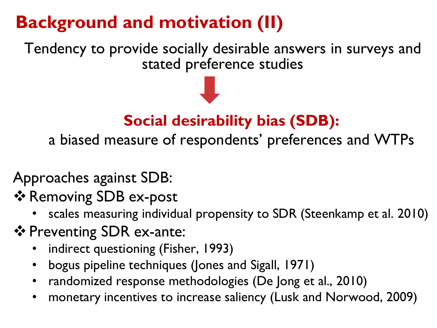# **Background and motivation (II)**

Tendency to provide socially desirable answers in surveys and stated preference studies

#### **Social desirability bias (SDB):**

a biased measure of respondents' preferences and WTPs

Approaches against SDB:

❖ Removing SDB ex-post

- scales measuring individual propensity to SDR (Steenkamp et al. 2010)
- ❖ Preventing SDR ex-ante:
	- indirect questioning (Fisher, 1993)
	- bogus pipeline techniques (Jones and Sigall, 1971)
	- randomized response methodologies (De Jong et al., 2010)
	- monetary incentives to increase saliency (Lusk and Norwood, 2009)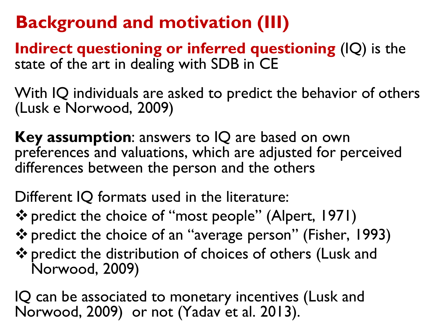### **Background and motivation (III)**

**Indirect questioning or inferred questioning** (IQ) is the state of the art in dealing with SDB in CE

With IQ individuals are asked to predict the behavior of others (Lusk e Norwood, 2009)

**Key assumption**: answers to IQ are based on own preferences and valuations, which are adjusted for perceived differences between the person and the others

Different IQ formats used in the literature:

predict the choice of "most people" (Alpert, 1971)

predict the choice of an "average person" (Fisher, 1993)

predict the distribution of choices of others (Lusk and Norwood, 2009)

IQ can be associated to monetary incentives (Lusk and Norwood, 2009) or not (Yadav et al. 2013).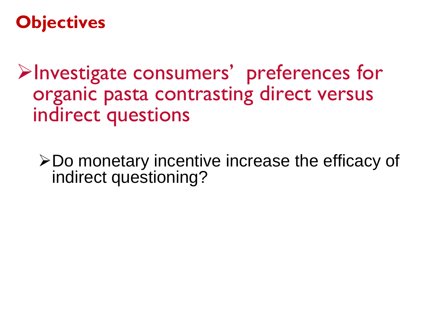#### **Objectives**

Investigate consumers' preferences for organic pasta contrasting direct versus indirect questions

Do monetary incentive increase the efficacy of indirect questioning?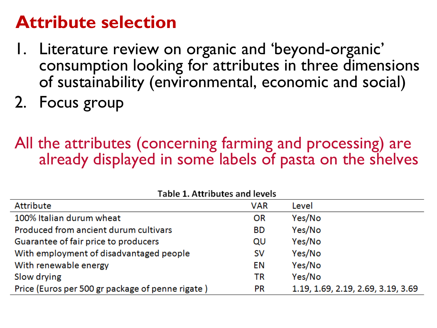#### **Attribute selection**

- 1. Literature review on organic and 'beyond-organic' consumption looking for attributes in three dimensions of sustainability (environmental, economic and social)
- 2. Focus group

#### All the attributes (concerning farming and processing) are already displayed in some labels of pasta on the shelves

| Table 1. Attributes and levels                   |            |                                    |
|--------------------------------------------------|------------|------------------------------------|
| Attribute                                        | <b>VAR</b> | Level                              |
| 100% Italian durum wheat                         | <b>OR</b>  | Yes/No                             |
| Produced from ancient durum cultivars            | <b>BD</b>  | Yes/No                             |
| Guarantee of fair price to producers             | QU         | Yes/No                             |
| With employment of disadvantaged people          | <b>SV</b>  | Yes/No                             |
| With renewable energy                            | EN         | Yes/No                             |
| Slow drying                                      | ΤR         | Yes/No                             |
| Price (Euros per 500 gr package of penne rigate) | <b>PR</b>  | 1.19, 1.69, 2.19, 2.69, 3.19, 3.69 |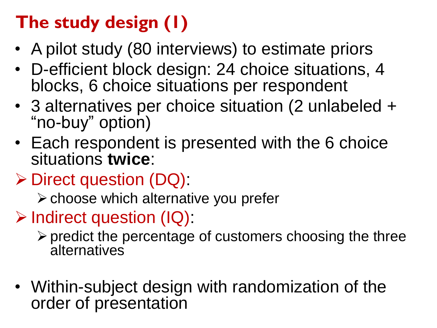# **The study design (1)**

- A pilot study (80 interviews) to estimate priors
- D-efficient block design: 24 choice situations, 4 blocks, 6 choice situations per respondent
- 3 alternatives per choice situation (2 unlabeled + "no-buy" option)
- Each respondent is presented with the 6 choice situations **twice**:
- $\triangleright$  Direct question (DQ):
	- $\triangleright$  choose which alternative you prefer
- $\triangleright$  Indirect question (IQ):
	- $\triangleright$  predict the percentage of customers choosing the three **alternatives**
- Within-subject design with randomization of the order of presentation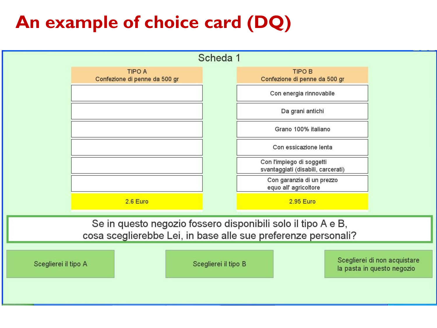#### **An example of choice card (DQ)**

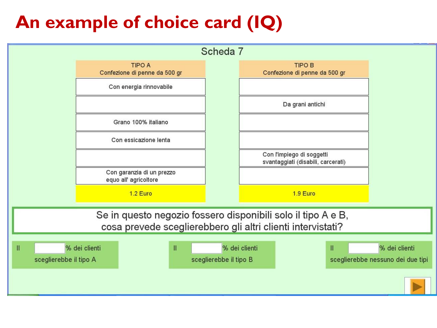### **An example of choice card (IQ)**

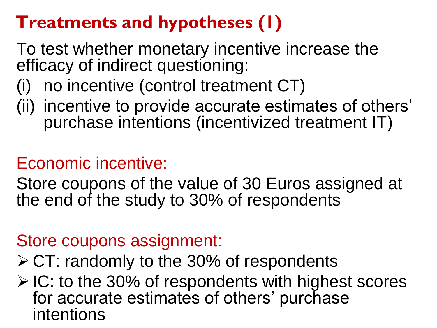#### **Treatments and hypotheses (1)**

To test whether monetary incentive increase the efficacy of indirect questioning:

- (i) no incentive (control treatment CT)
- (ii) incentive to provide accurate estimates of others' purchase intentions (incentivized treatment IT)

#### Economic incentive:

Store coupons of the value of 30 Euros assigned at the end of the study to 30% of respondents

#### Store coupons assignment:

- $\triangleright$  CT: randomly to the 30% of respondents
- $\triangleright$  IC: to the 30% of respondents with highest scores for accurate estimates of others' purchase intentions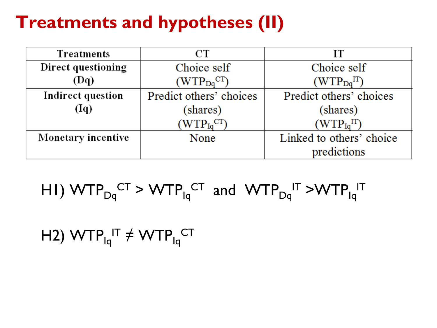#### **Treatments and hypotheses (II)**

| Treatments         | СT                                  | IТ                       |
|--------------------|-------------------------------------|--------------------------|
| Direct questioning | Choice self                         | Choice self              |
| (Dq)               | $(WTP_{Dq}^{CT})$                   | $(WTP_{Dq}^{IT})$        |
| Indirect question  | Predict others' choices             | Predict others' choices  |
| (Iq)               | (shares)                            | (shares)                 |
|                    | $(\mathrm{WTP_{Iq}}^{\mathrm{CT}})$ | $(WTP_{Iq}IT)$           |
| Monetary incentive | None                                | Linked to others' choice |
|                    |                                     | predictions              |

# $H$  M  $M$   $\text{TP}_{\text{Dq}}^{\text{CT}}$  > W  $\text{TP}_{\text{Iq}}^{\text{CT}}$  and  $\text{WTP}_{\text{Dq}}^{\text{IT}}$  > W  $\text{TP}_{\text{Iq}}^{\text{IT}}$

#### H2) WTP $_{\mathsf{Iq}}^{\mathsf{IT}}$   $\neq$  WTP $_{\mathsf{Iq}}^{\mathsf{CT}}$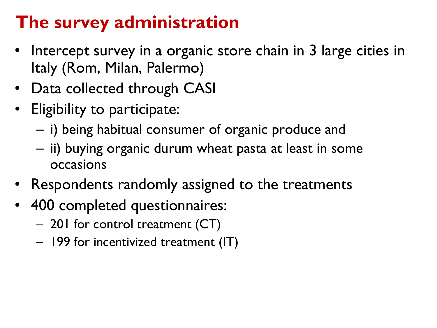#### **The survey administration**

- Intercept survey in a organic store chain in 3 large cities in Italy (Rom, Milan, Palermo)
- Data collected through CASI
- Eligibility to participate:
	- i) being habitual consumer of organic produce and
	- ii) buying organic durum wheat pasta at least in some occasions
- Respondents randomly assigned to the treatments
- 400 completed questionnaires:
	- 201 for control treatment (CT)
	- 199 for incentivized treatment (IT)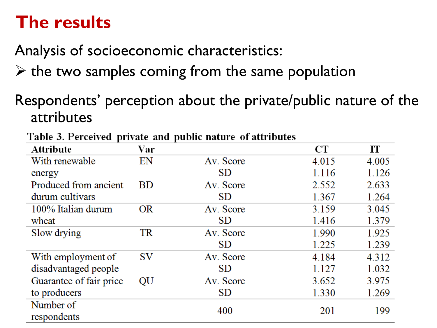#### **The results**

Analysis of socioeconomic characteristics:

- $\triangleright$  the two samples coming from the same population
- Respondents' perception about the private/public nature of the attributes

| <b>Attribute</b>        | Var       |           | <b>CT</b> | IТ    |
|-------------------------|-----------|-----------|-----------|-------|
| With renewable          | EN        | Av. Score | 4.015     | 4.005 |
| energy                  |           | <b>SD</b> | 1.116     | 1.126 |
| Produced from ancient   | <b>BD</b> | Av. Score | 2.552     | 2.633 |
| durum cultivars         |           | <b>SD</b> | 1.367     | 1.264 |
| 100% Italian durum      | <b>OR</b> | Av. Score | 3.159     | 3.045 |
| wheat                   |           | <b>SD</b> | 1.416     | 1.379 |
| Slow drying             | <b>TR</b> | Av. Score | 1.990     | 1.925 |
|                         |           | <b>SD</b> | 1.225     | 1.239 |
| With employment of      | <b>SV</b> | Av. Score | 4.184     | 4.312 |
| disadvantaged people    |           | <b>SD</b> | 1.127     | 1.032 |
| Guarantee of fair price | QU        | Av. Score | 3.652     | 3.975 |
| to producers            |           | <b>SD</b> | 1.330     | 1.269 |
| Number of               |           | 400       | 201       | 199   |
| respondents             |           |           |           |       |

Table 3. Perceived private and public nature of attributes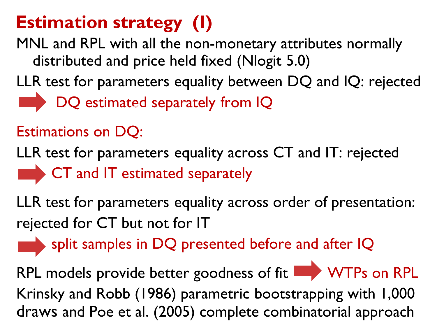### **Estimation strategy (I)**

MNL and RPL with all the non-monetary attributes normally distributed and price held fixed (Nlogit 5.0)

LLR test for parameters equality between DQ and IQ: rejected DQ estimated separately from IQ

#### Estimations on DQ:

LLR test for parameters equality across CT and IT: rejected CT and IT estimated separately

LLR test for parameters equality across order of presentation: rejected for CT but not for IT

split samples in DQ presented before and after IQ

RPL models provide better goodness of fit **WTPs** on RPL Krinsky and Robb (1986) parametric bootstrapping with 1,000 draws and Poe et al. (2005) complete combinatorial approach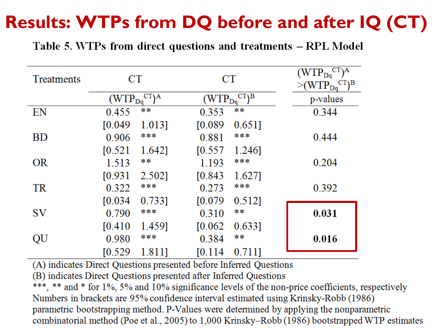#### **Results: WTPs from DQ before and after IQ (CT)**

Table 5. WTPs from direct questions and treatments – RPL Model

| Treatments | CT                   |                   |             | <b>CT</b>         | $CT$ <sup>A</sup><br>$(WTP_{Do}$<br>$CT$ <sup>B</sup><br>$>\!\!$ (WTP <sub>Da</sub> |
|------------|----------------------|-------------------|-------------|-------------------|-------------------------------------------------------------------------------------|
|            | (WTP <sub>Da</sub> ) | CT <sub>1</sub> A | $(WTP_{Dq}$ | $CT$ <sup>B</sup> | p-values                                                                            |
| EN         | 0.455                | **                | 0.353       | **                | 0.344                                                                               |
|            | [0.049]              | 1.013]            | [0.089]     | 0.6511            |                                                                                     |
| <b>BD</b>  | 0.906                | ***               | 0.881       | ***               | 0.444                                                                               |
|            | [0.521]              | 1.642]            | [0.557]     | 1.246]            |                                                                                     |
| <b>OR</b>  | 1.513                | **                | 1.193       | ***               | 0.204                                                                               |
|            | [0.931]              | 2.502]            | [0.843]     | 1.627]            |                                                                                     |
| <b>TR</b>  | 0.322                | ***               | 0.273       | ***               | 0.392                                                                               |
|            | [0.034]              | 0.733]            | [0.079]     | 0.512]            |                                                                                     |
| <b>SV</b>  | 0.790                | ***               | 0.310       | **                | 0.031                                                                               |
|            | [0.410]              | 1.459]            | [0.062]     | 0.6331            |                                                                                     |
| QU         | 0.980                | ***               | 0.384       | $* *$             | 0.016                                                                               |
|            | [0.529]              | 1.811]            | [0.114]     | 0.7111            |                                                                                     |

(A) indicates Direct Questions presented before Inferred Questions

(B) indicates Direct Questions presented after Inferred Questions

\*\*\*, \*\* and \* for 1%, 5% and 10% significance levels of the non-price coefficients, respectively Numbers in brackets are 95% confidence interval estimated using Krinsky-Robb (1986) parametric bootstrapping method. P-Values were determined by applying the nonparametric combinatorial method (Poe et al., 2005) to 1,000 Krinsky–Robb (1986) bootstrapped WTP estimates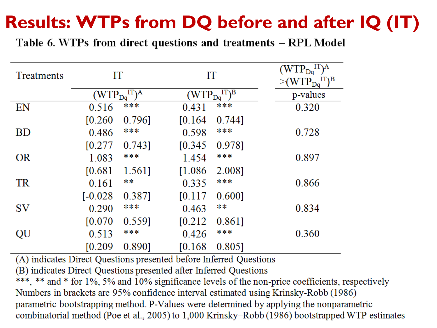### **Results: WTPs from DQ before and after IQ (IT)**

Table 6. WTPs from direct questions and treatments – RPL Model

| Treatments |             | IT<br>IΤ        |                      |             | IT)A<br>${\rm WTP}_{\rm Da}$<br>$IT$ <sub>B</sub><br>$(\mathrm{WTP}_{\mathrm{D}_0})$ |
|------------|-------------|-----------------|----------------------|-------------|--------------------------------------------------------------------------------------|
|            | $(WTP_{Da}$ | $IT\setminus A$ | (WTP <sub>Da</sub> ) | $IT\Bigr)B$ | p-values                                                                             |
| EN         | 0.516       | ***             | 0.431                | ***         | 0.320                                                                                |
|            | [0.260]     | 0.7961          | [0.164]              | 0.744]      |                                                                                      |
| <b>BD</b>  | 0.486       | ***             | 0.598                | ***         | 0.728                                                                                |
|            | [0.277]     | 0.743]          | [0.345]              | 0.9781      |                                                                                      |
| <b>OR</b>  | 1.083       | ***             | 1.454                | ***         | 0.897                                                                                |
|            | [0.681]     | 1.561]          | [1.086]              | 2.008]      |                                                                                      |
| TR         | 0.161       | **              | 0.335                | ***         | 0.866                                                                                |
|            | $[-0.028]$  | 0.387]          | [0.117]              | 0.600       |                                                                                      |
| SV         | 0.290       | ***             | 0.463                | **          | 0.834                                                                                |
|            | [0.070]     | 0.559]          | [0.212]              | 0.8611      |                                                                                      |
| QU         | 0.513       | ***             | 0.426                | ***         | 0.360                                                                                |
|            | [0.209]     | 0.890]          | [0.168]              | 0.8051      |                                                                                      |

(A) indicates Direct Questions presented before Inferred Questions

(B) indicates Direct Questions presented after Inferred Questions

\*\*\*, \*\* and \* for 1%, 5% and 10% significance levels of the non-price coefficients, respectively Numbers in brackets are 95% confidence interval estimated using Krinsky-Robb (1986) parametric bootstrapping method. P-Values were determined by applying the nonparametric combinatorial method (Poe et al., 2005) to 1,000 Krinsky–Robb (1986) bootstrapped WTP estimates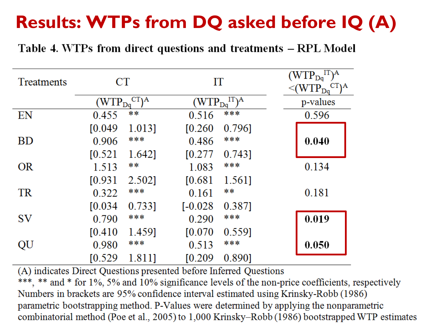# **Results: WTPs from DQ asked before IQ (A)**

#### Table 4. WTPs from direct questions and treatments – RPL Model

| <b>Treatments</b> |             | <b>CT</b>         | IT          |         | $\binom{IT}{A}$<br>$(\mathrm{WTP}_{\mathrm{D} \mathrm{q}})$<br>$CT$ <sup>A</sup><br>$\leq$ (WTP <sub>Da</sub> |
|-------------------|-------------|-------------------|-------------|---------|---------------------------------------------------------------------------------------------------------------|
|                   | $(WTP_{Da}$ | CT <sub>1</sub> A | $(WTP_{Dq}$ | $IT\$ A | p-values                                                                                                      |
| EN                | 0.455       | $**$              | 0.516       | ***     | 0.596                                                                                                         |
|                   | [0.049]     | 1.013]            | [0.260]     | 0.796]  |                                                                                                               |
| <b>BD</b>         | 0.906       | ***               | 0.486       | ***     | 0.040                                                                                                         |
|                   | [0.521]     | 1.642]            | [0.277]     | 0.743]  |                                                                                                               |
| <b>OR</b>         | 1.513       | **                | 1.083       | ***     | 0.134                                                                                                         |
|                   | [0.931]     | 2.502]            | [0.681]     | 1.5611  |                                                                                                               |
| <b>TR</b>         | 0.322       | ***               | 0.161       | **      | 0.181                                                                                                         |
|                   | [0.034]     | 0.7331            | $[-0.028]$  | 0.387]  |                                                                                                               |
| <b>SV</b>         | 0.790       | ***               | 0.290       | ***     | 0.019                                                                                                         |
|                   | [0.410]     | 1.459]            | [0.070]     | 0.559]  |                                                                                                               |
| QU                | 0.980       | ***               | 0.513       | ***     | 0.050                                                                                                         |
|                   | [0.529]     | 1.811]            | [0.209]     | 0.8901  |                                                                                                               |

(A) indicates Direct Questions presented before Inferred Questions

\*\*\*, \*\* and \* for 1%, 5% and 10% significance levels of the non-price coefficients, respectively Numbers in brackets are 95% confidence interval estimated using Krinsky-Robb (1986) parametric bootstrapping method. P-Values were determined by applying the nonparametric combinatorial method (Poe et al., 2005) to 1,000 Krinsky–Robb (1986) bootstrapped WTP estimates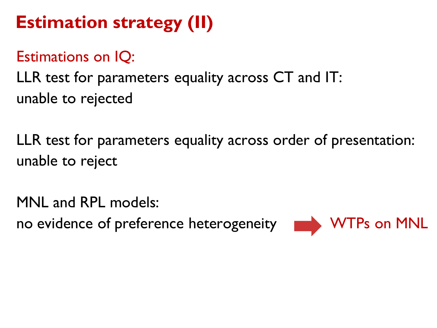# **Estimation strategy (II)**

#### Estimations on IQ:

LLR test for parameters equality across CT and IT: unable to rejected

LLR test for parameters equality across order of presentation: unable to reject

MNL and RPL models: no evidence of preference heterogeneity **WTPs** on MNL

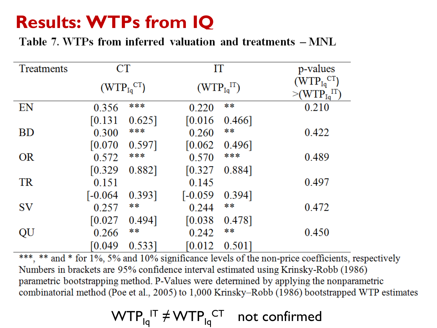#### **Results: WTPs from IQ**

Table 7. WTPs from inferred valuation and treatments  $-MNL$ 

| Treatments | CT                   |           | IT                |        | p-values                           |
|------------|----------------------|-----------|-------------------|--------|------------------------------------|
|            |                      |           |                   |        | $(WTP_{Iq}^{CT})$                  |
|            | $(WTP_{Iq}^{CT})$    |           | $(WTP_{Iq}^{IT})$ |        | $\geq$ (WTP $_{\rm Iq}^{\rm IT}$ ) |
| EN         | 0.356                | ***       | 0.220             | **     | 0.210                              |
|            | $\left[0.131\right]$ | 0.625     | [0.016]           | 0.466  |                                    |
| <b>BD</b>  | 0.300                | ***       | 0.260             | **     | 0.422                              |
|            | [0.070]              | 0.597]    | $[0.062]$         | 0.496] |                                    |
| <b>OR</b>  | 0.572                | ***       | 0.570             | ***    | 0.489                              |
|            | [0.329]              | 0.882]    | [0.327]           | 0.884] |                                    |
| <b>TR</b>  | 0.151                |           | 0.145             |        | 0.497                              |
|            | $[-0.064]$           | 0.393]    | $[-0.059]$        | 0.394] |                                    |
| <b>SV</b>  | 0.257                | **        | 0.244             | **     | 0.472                              |
|            | [0.027]              | 0.494]    | [0.038]           | 0.478] |                                    |
| QU         | 0.266                | **        | 0.242             | **     | 0.450                              |
|            | [0.049]              | $0.533$ ] | [0.012]           | 0.501  |                                    |

\*\*\*, \*\* and \* for 1%, 5% and 10% significance levels of the non-price coefficients, respectively Numbers in brackets are 95% confidence interval estimated using Krinsky-Robb (1986) parametric bootstrapping method. P-Values were determined by applying the nonparametric combinatorial method (Poe et al., 2005) to 1,000 Krinsky–Robb (1986) bootstrapped WTP estimates

 $\textsf{WTP}_{\mathsf{Iq}}^{\mathsf{IT}} \neq \textsf{WTP}_{\mathsf{Iq}}^{\mathsf{CT}}$  not confirmed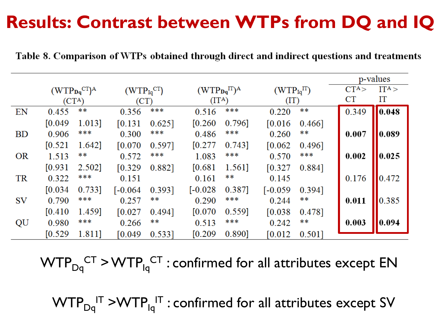#### **Results: Contrast between WTPs from DQ and IQ**

| Table 8. Comparison of WTPs obtained through direct and indirect questions and treatments |  |  |
|-------------------------------------------------------------------------------------------|--|--|
|-------------------------------------------------------------------------------------------|--|--|

|           |         |                     |                   |           |                     |        |                   |           |         | p-values |
|-----------|---------|---------------------|-------------------|-----------|---------------------|--------|-------------------|-----------|---------|----------|
|           |         | $(WTPDqCT)A$        | $(WTP_{Iq}^{CT})$ |           | $(WTP_{Dq}^{IT})^A$ |        | $(WTP_{Iq}^{IT})$ |           | $CT^A>$ | $IT^A >$ |
|           |         | $(CT^{\mathbf{A}})$ | (CT)              |           | $(IT^A)$            |        | (TT)              |           | CT      | IT       |
| EN        | 0.455   | **                  | 0.356             | ***       | 0.516               | ***    | 0.220             | **        | 0.349   | 0.048    |
|           | [0.049] | 1.013]              | [0.131]           | $0.625$ ] | [0.260]             | 0.796] | [0.016]           | $0.466$ ] |         |          |
| <b>BD</b> | 0.906   | ***                 | 0.300             | ***       | 0.486               | ***    | 0.260             | **        | 0.007   | 0.089    |
|           | [0.521] | 1.642]              | [0.070]           | 0.597]    | [0.277]             | 0.743] | [0.062]           | 0.496     |         |          |
| <b>OR</b> | 1.513   | **                  | 0.572             | ***       | 1.083               | ***    | 0.570             | ***       | 0.002   | 0.025    |
|           | [0.931] | 2.502]              | [0.329]           | 0.882]    | [0.681]             | 1.561] | [0.327]           | 0.884]    |         |          |
| <b>TR</b> | 0.322   | ***                 | 0.151             |           | 0.161               | **     | 0.145             |           | 0.176   | 0.472    |
|           | [0.034] | 0.733]              | $[-0.064]$        | 0.393]    | $[-0.028]$          | 0.387] | $[-0.059]$        | 0.394]    |         |          |
| <b>SV</b> | 0.790   | ***                 | 0.257             | **        | 0.290               | ***    | 0.244             | **        | 0.011   | 10.385   |
|           | [0.410] | 1.459]              | [0.027]           | 0.494]    | [0.070]             | 0.559] | [0.038]           | 0.478]    |         |          |
| QU        | 0.980   | ***                 | 0.266             | **        | 0.513               | ***    | 0.242             | **        | 0.003   | 0.094    |
|           | [0.529] | 1.811]              | [0.049]           | $0.533$ ] | [0.209]             | 0.890] | [0.012]           | 0.501     |         |          |

 $\text{WTP}_{\text{Dq}}^{\text{\; CT}}$  >  $\text{WTP}_{\text{Iq}}^{\text{\; CT}}$  : confirmed for all attributes except EN

 $\textsf{WTP}_{\mathsf{Dq}}^{\mathsf{IT}}$  >WTP $_{\mathsf{Iq}}^{\mathsf{IT}}$  : confirmed for all attributes except SV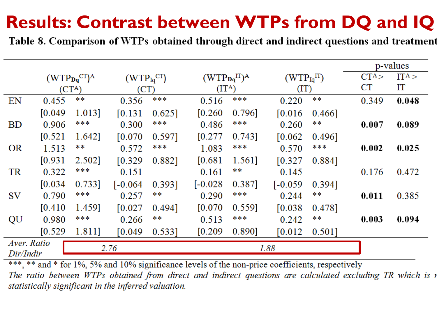### **Results: Contrast between WTPs from DQ and IQ**

Table 8. Comparison of WTPs obtained through direct and indirect questions and treatment

|                     |                    |              |                   |           |              |                    |                |        | p-values |          |
|---------------------|--------------------|--------------|-------------------|-----------|--------------|--------------------|----------------|--------|----------|----------|
|                     |                    | $(WTPDqCT)A$ | $(WTP_{Iq}^{CT})$ |           | $(WTPDqIT)A$ |                    | $(WTP_{Iq}IT)$ |        | $CT^A>$  | $IT^A >$ |
|                     | (CT <sup>A</sup> ) |              | (CT)              |           |              | (IT <sup>A</sup> ) |                | (TT)   |          | IT       |
| EN                  | 0.455              | **           | 0.356             | ***       | 0.516        | ***                | 0.220          | **     | 0.349    | 0.048    |
|                     | [0.049]            | 1.013]       | [0.131]           | $0.625$ ] | [0.260]      | 0.796]             | [0.016]        | 0.466  |          |          |
| <b>BD</b>           | 0.906              | ***          | 0.300             | ***       | 0.486        | ***                | 0.260          | **     | 0.007    | 0.089    |
|                     | [0.521]            | 1.642]       | [0.070]           | 0.597]    | [0.277]      | 0.743]             | [0.062]        | 0.496] |          |          |
| <b>OR</b>           | 1.513              | **           | 0.572             | ***       | 1.083        | ***                | 0.570          | ***    | 0.002    | 0.025    |
|                     | [0.931]            | 2.502]       | [0.329]           | 0.882]    | [0.681]      | 1.561]             | [0.327]        | 0.884] |          |          |
| TR                  | 0.322              | ***          | 0.151             |           | 0.161        | **                 | 0.145          |        | 0.176    | 0.472    |
|                     | [0.034]            | 0.733]       | $[-0.064]$        | 0.393]    | $[-0.028]$   | 0.387]             | $[-0.059]$     | 0.394] |          |          |
| <b>SV</b>           | 0.790              | ***          | 0.257             | **        | 0.290        | ***                | 0.244          | **     | 0.011    | 0.385    |
|                     | [0.410]            | 1.459]       | [0.027]           | 0.494]    | [0.070]      | 0.559]             | [0.038]        | 0.478] |          |          |
| QU                  | 0.980              | ***          | 0.266             | **        | 0.513        | ***                | 0.242          | **     | 0.003    | 0.094    |
|                     | [0.529]            | 1.811]       | [0.049]           | $0.533$ ] | [0.209]      | 0.890]             | [0.012]        | 0.501  |          |          |
| Aver. Ratio<br>2.76 |                    |              |                   |           |              |                    | 1.88           |        |          |          |
| Dir/Indir           |                    |              |                   |           |              |                    |                |        |          |          |

\*\*\*, \*\* and \* for 1%, 5% and 10% significance levels of the non-price coefficients, respectively The ratio between WTPs obtained from direct and indirect questions are calculated excluding TR which is r statistically significant in the inferred valuation.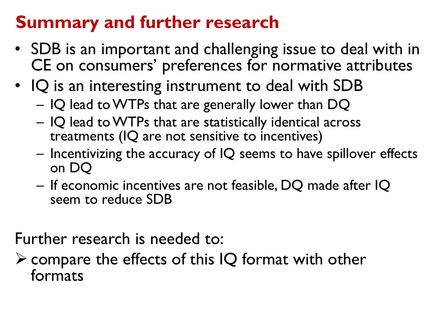#### **Summary and further research**

- SDB is an important and challenging issue to deal with in CE on consumers' preferences for normative attributes
- IQ is an interesting instrument to deal with SDB – IQ lead to WTPs that are generally lower than DQ
	- IQ lead to WTPs that are statistically identical across treatments (IQ are not sensitive to incentives)
	- $-$  Incentivizing the accuracy of IQ seems to have spillover effects on DQ
	- If economic incentives are not feasible, DQ made after IQ seem to reduce SDB

Further research is needed to:

 $\triangleright$  compare the effects of this IQ format with other formats